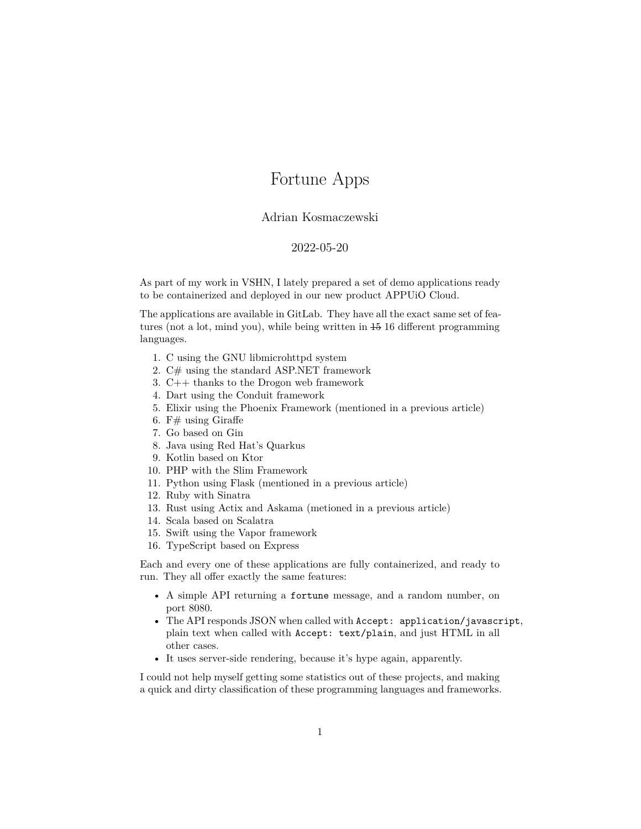## Fortune Apps

## Adrian Kosmaczewski

## 2022-05-20

<span id="page-0-0"></span>As part of my work in [VSHN,](https://www.vshn.ch/) I lately prepared a set of demo applications ready to be containerized and deployed in our new product [APPUiO Cloud](https://appuio.cloud/).

The applications are available [in GitLab](https://gitlab.com/vshn/applications). They have all the exact same set of features (not a lot, mind you), while being written in 15 16 different programming languages.

- 1. [C](https://gitlab.com/vshn/applications/fortune-c) using the [GNU libmicrohttpd](https://www.gnu.org/software/libmicrohttpd/) system
- 2. [C#](https://gitlab.com/vshn/applications/fortune-csharp) using the standard [ASP.NET](https://dotnet.microsoft.com/en-us/apps/aspnet) framework
- 3. [C++](https://gitlab.com/vshn/applications/fortune-cpp) thanks to the [Drogon](https://github.com/drogonframework/drogon) web framework
- 4. [Dart](https://gitlab.com/vshn/applications/fortune-dart) using the [Conduit](https://www.theconduit.dev/) framework
- 5. [Elixir](https://gitlab.com/vshn/applications/fortune-elixir) using the [Phoenix Framework](https://phoenixframework.org/) (mentioned in a previous article)
- 6. [F#](https://gitlab.com/vshn/applications/fortune-fsharp) using [Giraffe](https://giraffe.wiki/)
- 7. [Go](https://gitlab.com/vshn/applications/fortune-go) based on [Gin](https://gin-gonic.com/)
- 8. [Java](https://gitlab.com/vshn/applications/fortune-java) using Red Hat's [Quarkus](https://quarkus.io/)
- 9. [Kotlin](https://gitlab.com/vshn/applications/fortune-kotlin) based on [Ktor](https://ktor.io/)
- 10. [PHP](https://gitlab.com/vshn/applications/fortune-php) with the [Slim Framework](https://www.slimframework.com/)
- 11. [Python](https://gitlab.com/vshn/applications/fortune-python) using [Flask](https://flask.palletsprojects.com/en/1.1.x/) (mentioned in a previous article)
- 12. [Ruby](https://gitlab.com/vshn/applications/fortune-ruby) with [Sinatra](http://sinatrarb.com/)
- 13. [Rust](https://gitlab.com/vshn/applications/fortune-rust) using [Actix](https://actix.rs/) and [Askama](https://djc.github.io/askama/) (metioned in a previous article)
- 14. [Scala](https://gitlab.com/vshn/applications/fortune-scala) based on [Scalatra](https://scalatra.org/)
- 15. [Swift](https://gitlab.com/vshn/applications/fortune-swift) using the [Vapor](https://vapor.codes/) framework
- 16. [TypeScript](https://gitlab.com/vshn/applications/fortune-typescript) based on [Express](https://expressjs.com/)

Each and every one of these applications are fully containerized, and ready to run. They all offer exactly the same features:

- A simple API returning a fortune message, and a random number, on port 8080.
- The API responds JSON when called with Accept: application/javascript, plain text when called with Accept: text/plain, and just HTML in all other cases.
- It uses server-side rendering, because it's [hype again](https://hotwired.dev/), apparently.

I could not help myself getting some statistics out of these projects, and making a quick and dirty classification of these programming languages and frameworks.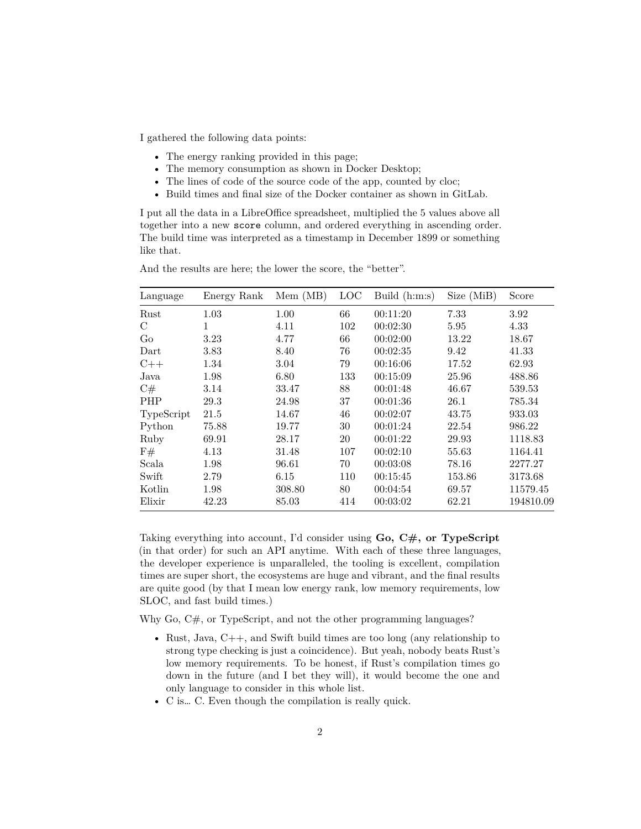I gathered the following data points:

- The energy ranking provided in [this page](https://medium.com/codex/what-are-the-greenest-programming-languages-e738774b1957);
- The memory consumption as shown in Docker Desktop;
- The lines of code of the source code of the app, counted by [cloc;](https://github.com/AlDanial/cloc)
- Build times and final size of the Docker container as shown in GitLab.

I put all the data in a LibreOffice spreadsheet, multiplied the 5 values above all together into a new score column, and ordered everything in ascending order. The build time was interpreted as a timestamp in December 1899 or something like that.

| Language      | Energy Rank | Mem (MB) | LOC | Build $(h:m:s)$ | Size (MiB) | Score     |
|---------------|-------------|----------|-----|-----------------|------------|-----------|
| Rust          | 1.03        | 1.00     | 66  | 00:11:20        | 7.33       | 3.92      |
| $\mathcal{C}$ | 1           | 4.11     | 102 | 00:02:30        | 5.95       | 4.33      |
| Go            | 3.23        | 4.77     | 66  | 00:02:00        | 13.22      | 18.67     |
| Dart          | 3.83        | 8.40     | 76  | 00:02:35        | 9.42       | 41.33     |
| $C++$         | 1.34        | 3.04     | 79  | 00:16:06        | 17.52      | 62.93     |
| Java          | 1.98        | 6.80     | 133 | 00:15:09        | 25.96      | 488.86    |
| C#            | 3.14        | 33.47    | 88  | 00:01:48        | 46.67      | 539.53    |
| <b>PHP</b>    | 29.3        | 24.98    | 37  | 00:01:36        | 26.1       | 785.34    |
| TypeScript    | 21.5        | 14.67    | 46  | 00:02:07        | 43.75      | 933.03    |
| Python        | 75.88       | 19.77    | 30  | 00:01:24        | 22.54      | 986.22    |
| Ruby          | 69.91       | 28.17    | 20  | 00:01:22        | 29.93      | 1118.83   |
| F#            | 4.13        | 31.48    | 107 | 00:02:10        | 55.63      | 1164.41   |
| Scala         | 1.98        | 96.61    | 70  | 00:03:08        | 78.16      | 2277.27   |
| Swift         | 2.79        | 6.15     | 110 | 00:15:45        | 153.86     | 3173.68   |
| Kotlin        | 1.98        | 308.80   | 80  | 00:04:54        | 69.57      | 11579.45  |
| Elixir        | 42.23       | 85.03    | 414 | 00:03:02        | 62.21      | 194810.09 |

And the results are here; the lower the score, the "better".

Taking everything into account, I'd consider using **Go, C#, or TypeScript** (in that order) for such an API anytime. With each of these three languages, the developer experience is unparalleled, the tooling is excellent, compilation times are super short, the ecosystems are huge and vibrant, and the final results are quite good (by that I mean low energy rank, low memory requirements, low SLOC, and fast build times.)

Why Go,  $C\#$ , or TypeScript, and not the other programming languages?

- Rust, Java, C++, and Swift build times are too long (any relationship to strong type checking is just a coincidence). But yeah, nobody beats Rust's low memory requirements. To be honest, if Rust's compilation times go down in the future (and I bet they will), it would become the one and only language to consider in this whole list.
- C is… C. Even though the compilation is really quick.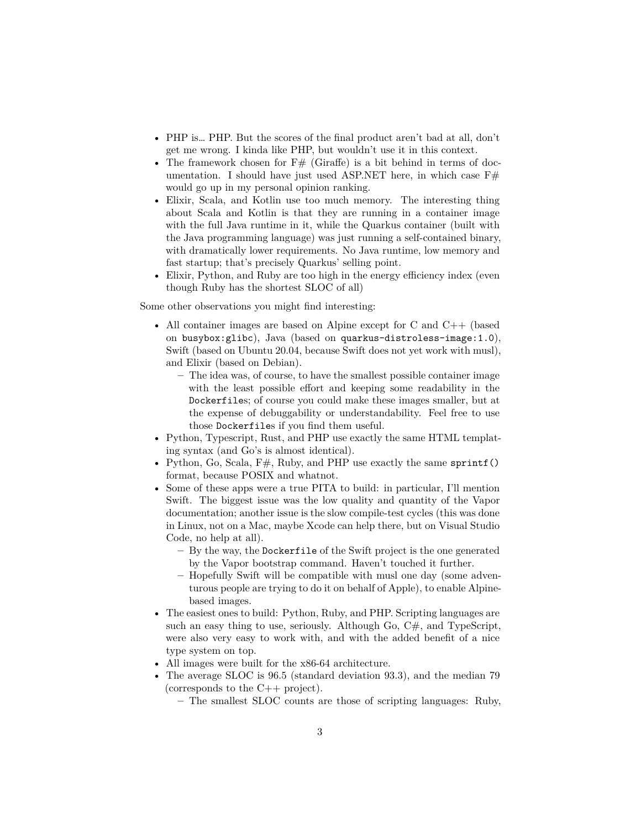- PHP is… PHP. But the scores of the final product aren't bad at all, don't get me wrong. I kinda like PHP, but wouldn't use it in this context.
- The framework chosen for  $F#$  (Giraffe) is a bit behind in terms of documentation. I should have just used ASP.NET here, in which case  $F#$ would go up in my personal opinion ranking.
- Elixir, Scala, and Kotlin use too much memory. The interesting thing about Scala and Kotlin is that they are running in a container image with the full Java runtime in it, while the Quarkus container (built with the Java programming language) was just running a self-contained binary, with dramatically lower requirements. No Java runtime, low memory and fast startup; that's precisely Quarkus' selling point.
- Elixir, Python, and Ruby are too high in the energy efficiency index (even though Ruby has the shortest SLOC of all)

Some other observations you might find interesting:

- All container images are based on [Alpine](https://www.alpinelinux.org/) except for C and C++ (based on busybox:glibc), Java (based on quarkus-distroless-image:1.0), Swift (based on Ubuntu 20.04, because Swift does not yet work with [musl](https://musl.libc.org/)), and Elixir (based on Debian).
	- **–** The idea was, of course, to have the smallest possible container image with the least possible effort and keeping some readability in the Dockerfiles; of course you could make these images smaller, but at the expense of debuggability or understandability. Feel free to use those Dockerfiles if you find them useful.
- Python, Typescript, Rust, and PHP use exactly the same HTML templating syntax (and Go's is almost identical).
- Python, Go, Scala,  $F#$ , Ruby, and PHP use exactly the same sprintf() format, because POSIX and whatnot.
- Some of these apps were a true PITA to build: in particular, I'll mention Swift. The biggest issue was the low quality and quantity of the Vapor documentation; another issue is the slow compile-test cycles (this was done in Linux, not on a Mac, maybe Xcode can help there, but on Visual Studio Code, no help at all).
	- **–** By the way, the Dockerfile of the Swift project is the one generated by the Vapor bootstrap command. Haven't touched it further.
	- **–** Hopefully Swift will be compatible with musl one day (some adventurous people are [trying to do it](https://github.com/MaxDesiatov/swift-alpine) on behalf of Apple), to enable Alpinebased images.
- The easiest ones to build: Python, Ruby, and PHP. Scripting languages are such an easy thing to use, seriously. Although Go,  $C#$ , and TypeScript, were also very easy to work with, and with the added benefit of a nice type system on top.
- All images were built for the x86-64 architecture.
- The average SLOC is 96.5 (standard deviation 93.3), and the median 79 (corresponds to the  $C++$  project).
	- **–** The smallest SLOC counts are those of scripting languages: Ruby,